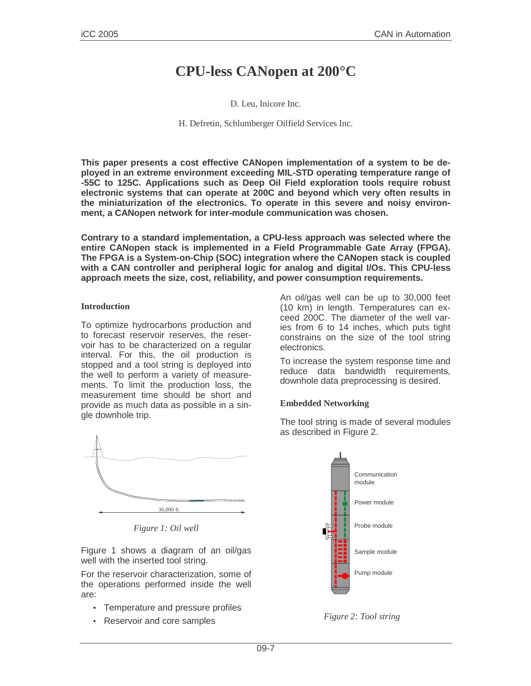# **CPU-less CANopen at 200°C**

D. Leu, Inicore Inc.

H. Defretin, Schlumberger Oilfield Services Inc.

**This paper presents a cost effective CANopen implementation of a system to be deployed in an extreme environment exceeding MIL-STD operating temperature range of -55C to 125C. Applications such as Deep Oil Field exploration tools require robust electronic systems that can operate at 200C and beyond which very often results in the miniaturization of the electronics. To operate in this severe and noisy environment, a CANopen network for inter-module communication was chosen.**

**Contrary to a standard implementation, a CPU-less approach was selected where the entire CANopen stack is implemented in a Field Programmable Gate Array (FPGA). The FPGA is a System-on-Chip (SOC) integration where the CANopen stack is coupled with a CAN controller and peripheral logic for analog and digital I/Os. This CPU-less approach meets the size, cost, reliability, and power consumption requirements.**

#### **Introduction**

To optimize hydrocarbons production and to forecast reservoir reserves, the reservoir has to be characterized on a regular interval. For this, the oil production is stopped and a tool string is deployed into the well to perform a variety of measurements. To limit the production loss, the measurement time should be short and provide as much data as possible in a single downhole trip.



*Figure 1: Oil well*

Figure 1 shows a diagram of an oil/gas well with the inserted tool string.

For the reservoir characterization, some of the operations performed inside the well are:

- Temperature and pressure profiles
- Reservoir and core samples

An oil/gas well can be up to 30,000 feet (10 km) in length. Temperatures can exceed 200C. The diameter of the well varies from 6 to 14 inches, which puts tight constrains on the size of the tool string electronics.

To increase the system response time and reduce data bandwidth requirements, downhole data preprocessing is desired.

### **Embedded Networking**

The tool string is made of several modules as described in Figure 2.



*Figure 2: Tool string*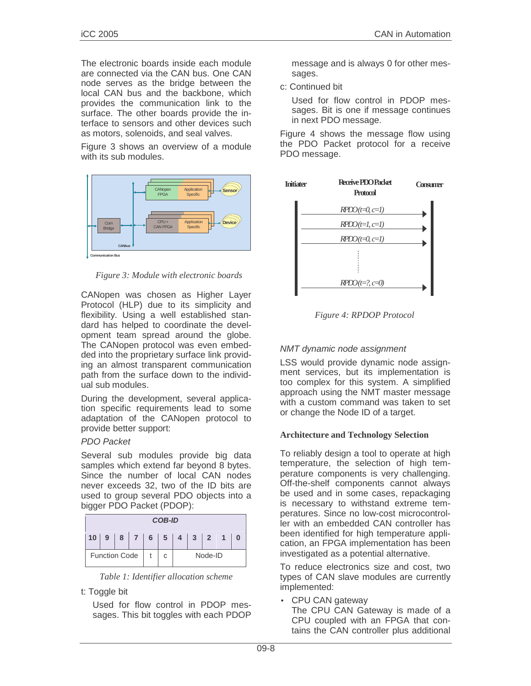The electronic boards inside each module are connected via the CAN bus. One CAN node serves as the bridge between the local CAN bus and the backbone, which provides the communication link to the surface. The other boards provide the interface to sensors and other devices such as motors, solenoids, and seal valves.

Figure 3 shows an overview of a module with its sub modules.



*Figure 3: Module with electronic boards*

CANopen was chosen as Higher Layer Protocol (HLP) due to its simplicity and flexibility. Using a well established standard has helped to coordinate the development team spread around the globe. The CANopen protocol was even embedded into the proprietary surface link providing an almost transparent communication path from the surface down to the individual sub modules.

During the development, several application specific requirements lead to some adaptation of the CANopen protocol to provide better support:

### PDO Packet

Several sub modules provide big data samples which extend far beyond 8 bytes. Since the number of local CAN nodes never exceeds 32, two of the ID bits are used to group several PDO objects into a bigger PDO Packet (PDOP):

| <b>COB-ID</b>        |  |  |  |  |                                 |         |  |  |  |  |
|----------------------|--|--|--|--|---------------------------------|---------|--|--|--|--|
| 10 <sup>°</sup>      |  |  |  |  | 9   8   7   6   5   4   3   2 1 |         |  |  |  |  |
| <b>Function Code</b> |  |  |  |  |                                 | Node-ID |  |  |  |  |

*Table 1: Identifier allocation scheme*

t: Toggle bit

Used for flow control in PDOP messages. This bit toggles with each PDOP message and is always 0 for other messages.

c: Continued bit

Used for flow control in PDOP messages. Bit is one if message continues in next PDO message.

Figure 4 shows the message flow using the PDO Packet protocol for a receive PDO message.



*Figure 4: RPDOP Protocol*

# NMT dynamic node assignment

LSS would provide dynamic node assignment services, but its implementation is too complex for this system. A simplified approach using the NMT master message with a custom command was taken to set or change the Node ID of a target.

### **Architecture and Technology Selection**

To reliably design a tool to operate at high temperature, the selection of high temperature components is very challenging. Off-the-shelf components cannot always be used and in some cases, repackaging is necessary to withstand extreme temperatures. Since no low-cost microcontroller with an embedded CAN controller has been identified for high temperature application, an FPGA implementation has been investigated as a potential alternative.

To reduce electronics size and cost, two types of CAN slave modules are currently implemented:

• CPU CAN gateway The CPU CAN Gateway is made of a CPU coupled with an FPGA that contains the CAN controller plus additional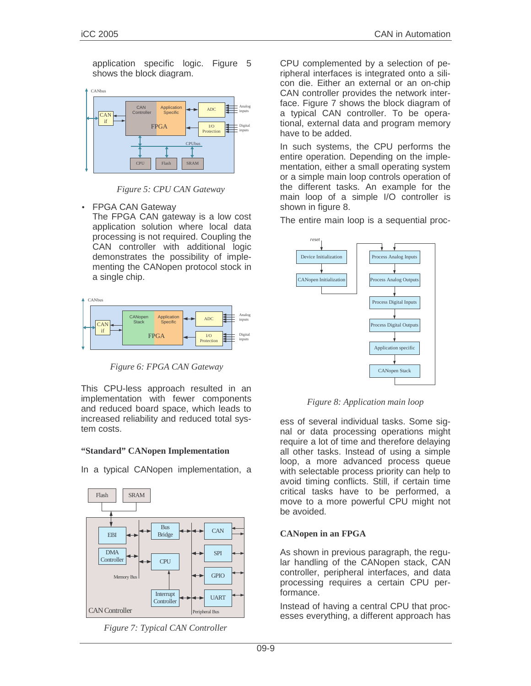application specific logic. Figure 5 shows the block diagram.



*Figure 5: CPU CAN Gateway*

• FPGA CAN Gateway

The FPGA CAN gateway is a low cost application solution where local data processing is not required. Coupling the CAN controller with additional logic demonstrates the possibility of implementing the CANopen protocol stock in a single chip.



*Figure 6: FPGA CAN Gateway*

This CPU-less approach resulted in an implementation with fewer components and reduced board space, which leads to increased reliability and reduced total system costs.

### **"Standard" CANopen Implementation**

In a typical CANopen implementation, a





CPU complemented by a selection of peripheral interfaces is integrated onto a silicon die. Either an external or an on-chip CAN controller provides the network interface. Figure 7 shows the block diagram of a typical CAN controller. To be operational, external data and program memory have to be added.

In such systems, the CPU performs the entire operation. Depending on the implementation, either a small operating system or a simple main loop controls operation of the different tasks. An example for the main loop of a simple I/O controller is shown in figure 8.

The entire main loop is a sequential proc-



*Figure 8: Application main loop*

ess of several individual tasks. Some signal or data processing operations might require a lot of time and therefore delaying all other tasks. Instead of using a simple loop, a more advanced process queue with selectable process priority can help to avoid timing conflicts. Still, if certain time critical tasks have to be performed, a move to a more powerful CPU might not be avoided.

# **CANopen in an FPGA**

As shown in previous paragraph, the regular handling of the CANopen stack, CAN controller, peripheral interfaces, and data processing requires a certain CPU performance.

Instead of having a central CPU that processes everything, a different approach has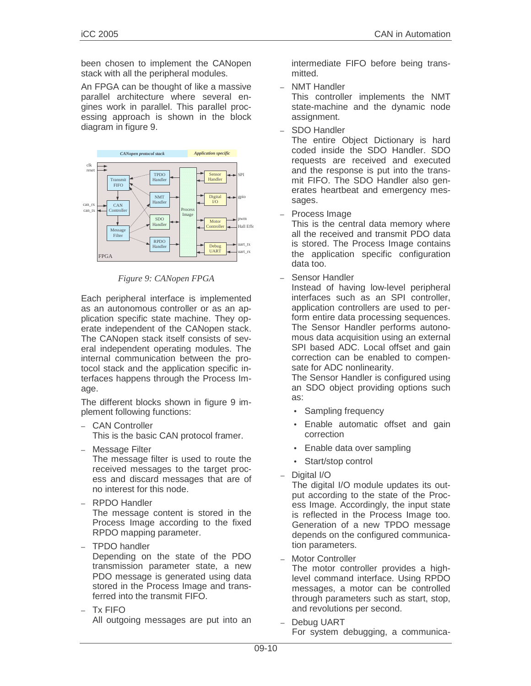been chosen to implement the CANopen stack with all the peripheral modules.

An FPGA can be thought of like a massive parallel architecture where several engines work in parallel. This parallel processing approach is shown in the block diagram in figure 9.



*Figure 9: CANopen FPGA*

Each peripheral interface is implemented as an autonomous controller or as an application specific state machine. They operate independent of the CANopen stack. The CANopen stack itself consists of several independent operating modules. The internal communication between the protocol stack and the application specific interfaces happens through the Process Image.

The different blocks shown in figure 9 implement following functions:

- CAN Controller This is the basic CAN protocol framer.
- Message Filter

The message filter is used to route the received messages to the target process and discard messages that are of no interest for this node.

- RPDO Handler The message content is stored in the Process Image according to the fixed RPDO mapping parameter.
- TPDO handler

Depending on the state of the PDO transmission parameter state, a new PDO message is generated using data stored in the Process Image and transferred into the transmit FIFO.

– Tx FIFO All outgoing messages are put into an intermediate FIFO before being transmitted.

– NMT Handler

This controller implements the NMT state-machine and the dynamic node assignment.

– SDO Handler

The entire Object Dictionary is hard coded inside the SDO Handler. SDO requests are received and executed and the response is put into the transmit FIFO. The SDO Handler also generates heartbeat and emergency messages.

– Process Image

This is the central data memory where all the received and transmit PDO data is stored. The Process Image contains the application specific configuration data too.

– Sensor Handler

Instead of having low-level peripheral interfaces such as an SPI controller, application controllers are used to perform entire data processing sequences. The Sensor Handler performs autonomous data acquisition using an external SPI based ADC. Local offset and gain correction can be enabled to compensate for ADC nonlinearity.

The Sensor Handler is configured using an SDO object providing options such as:

- Sampling frequency
- Enable automatic offset and gain correction
- Enable data over sampling
- Start/stop control
- Digital I/O

The digital I/O module updates its output according to the state of the Process Image. Accordingly, the input state is reflected in the Process Image too. Generation of a new TPDO message depends on the configured communication parameters.

Motor Controller

The motor controller provides a highlevel command interface. Using RPDO messages, a motor can be controlled through parameters such as start, stop, and revolutions per second.

– Debug UART

For system debugging, a communica-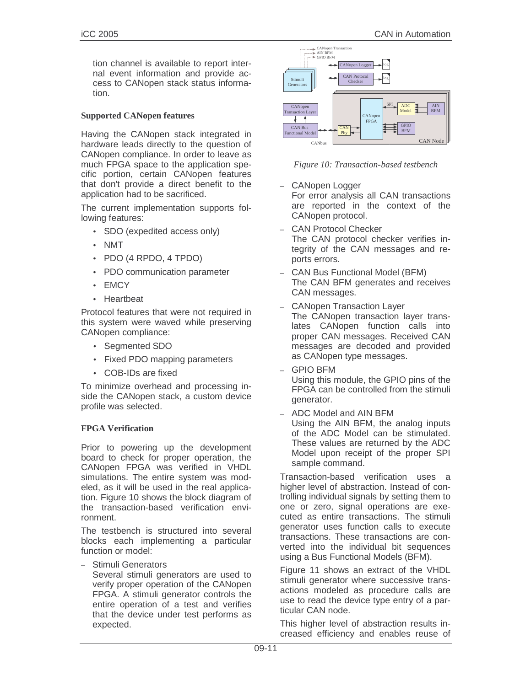#### **Supported CANopen features**

Having the CANopen stack integrated in hardware leads directly to the question of CANopen compliance. In order to leave as much FPGA space to the application specific portion, certain CANopen features that don't provide a direct benefit to the application had to be sacrificed.

The current implementation supports following features:

- SDO (expedited access only)
- NMT
- PDO (4 RPDO, 4 TPDO)
- PDO communication parameter
- EMCY
- Heartbeat

Protocol features that were not required in this system were waved while preserving CANopen compliance:

- Segmented SDO
- Fixed PDO mapping parameters
- COB-IDs are fixed

To minimize overhead and processing inside the CANopen stack, a custom device profile was selected.

#### **FPGA Verification**

Prior to powering up the development board to check for proper operation, the CANopen FPGA was verified in VHDL simulations. The entire system was modeled, as it will be used in the real application. Figure 10 shows the block diagram of the transaction-based verification environment.

The testbench is structured into several blocks each implementing a particular function or model:

– Stimuli Generators

Several stimuli generators are used to verify proper operation of the CANopen FPGA. A stimuli generator controls the entire operation of a test and verifies that the device under test performs as expected.



*Figure 10: Transaction-based testbench*

- CANopen Logger For error analysis all CAN transactions are reported in the context of the CANopen protocol.
- CAN Protocol Checker The CAN protocol checker verifies integrity of the CAN messages and reports errors.
- CAN Bus Functional Model (BFM) The CAN BFM generates and receives CAN messages.
- CANopen Transaction Layer The CANopen transaction layer translates CANopen function calls into proper CAN messages. Received CAN messages are decoded and provided as CANopen type messages.
- GPIO BFM Using this module, the GPIO pins of the FPGA can be controlled from the stimuli generator.
- ADC Model and AIN BFM Using the AIN BFM, the analog inputs of the ADC Model can be stimulated. These values are returned by the ADC Model upon receipt of the proper SPI sample command.

Transaction-based verification uses a higher level of abstraction. Instead of controlling individual signals by setting them to one or zero, signal operations are executed as entire transactions. The stimuli generator uses function calls to execute transactions. These transactions are converted into the individual bit sequences using a Bus Functional Models (BFM).

Figure 11 shows an extract of the VHDL stimuli generator where successive transactions modeled as procedure calls are use to read the device type entry of a particular CAN node.

This higher level of abstraction results increased efficiency and enables reuse of